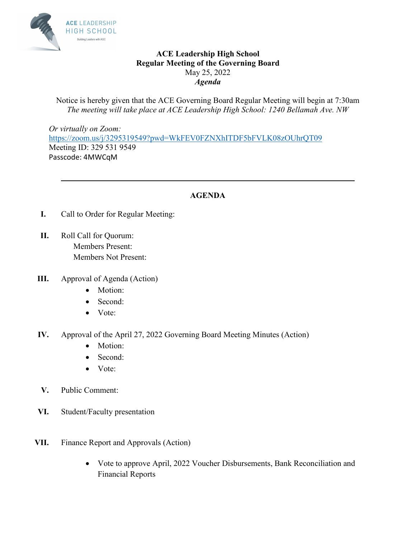

### **ACE Leadership High School Regular Meeting of the Governing Board**  May 25, 2022 *Agenda*

Notice is hereby given that the ACE Governing Board Regular Meeting will begin at 7:30am *The meeting will take place at ACE Leadership High School: 1240 Bellamah Ave. NW* 

*Or virtually on Zoom:*  [https://zoom.us/j/3295319549?pwd=WkFEV0FZNXhITDF5bFVLK08zOUhrQT09](https://urldefense.com/v3/__https:/zoom.us/j/3295319549?pwd=WkFEV0FZNXhITDF5bFVLK08zOUhrQT09__;!!KGOTntw!AP4EFeY7hevNEwX7bs7sCeVY1Lk7j-WEHafYag9_9QHQzql415jtPGgknRx17EEk$) Meeting ID: 329 531 9549 Passcode: 4MWCqM

## **AGENDA**

**\_\_\_\_\_\_\_\_\_\_\_\_\_\_\_\_\_\_\_\_\_\_\_\_\_\_\_\_\_\_\_\_\_\_\_\_\_\_\_\_\_\_\_\_\_\_\_\_\_\_\_\_\_\_\_\_\_\_\_\_\_\_\_\_\_\_\_\_\_\_\_\_** 

- **I.** Call to Order for Regular Meeting:
- **II.** Roll Call for Quorum: Members Present: Members Not Present:
- **III.** Approval of Agenda (Action)
	- Motion:
	- Second:
	- Vote:
- **IV.** Approval of the April 27, 2022 Governing Board Meeting Minutes (Action)
	- Motion:
	- Second:
	- Vote:
- **V.** Public Comment:
- **VI.** Student/Faculty presentation
- **VII.** Finance Report and Approvals (Action)
	- Vote to approve April, 2022 Voucher Disbursements, Bank Reconciliation and Financial Reports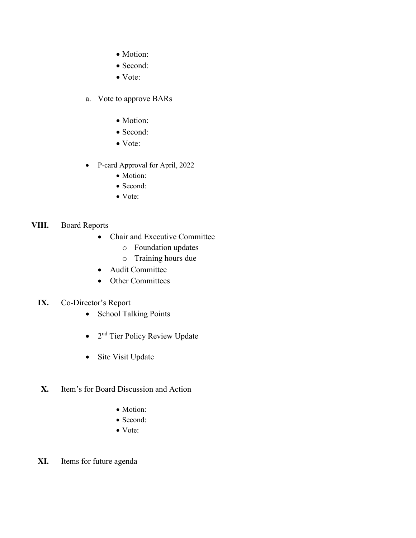- Motion:
- Second:
- Vote:
- a. Vote to approve BARs
	- Motion:
	- Second:
	- Vote:
- P-card Approval for April, 2022
	- Motion:
	- Second:
	- Vote:

#### **VIII.** Board Reports

- Chair and Executive Committee
	- o Foundation updates
	- o Training hours due
- Audit Committee
- Other Committees
- **IX.** Co-Director's Report
	- School Talking Points
	- 2<sup>nd</sup> Tier Policy Review Update
	- Site Visit Update
- **X.** Item's for Board Discussion and Action
	- Motion:
	- Second:
	- Vote:
- **XI.** Items for future agenda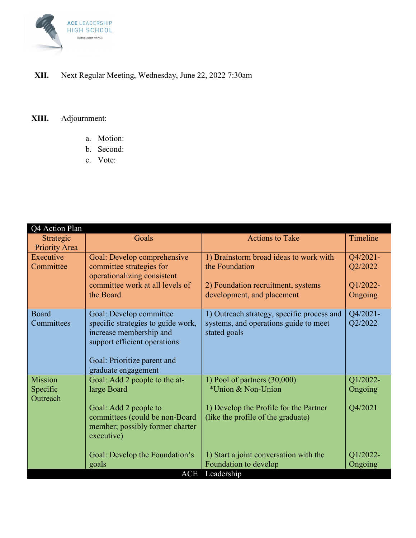

## **XII.** Next Regular Meeting, Wednesday, June 22, 2022 7:30am

# **XIII.** Adjournment:

- a. Motion:
- b. Second:
- c. Vote:

| Q4 Action Plan             |                                                                   |                                                       |          |
|----------------------------|-------------------------------------------------------------------|-------------------------------------------------------|----------|
| Strategic<br>Priority Area | Goals                                                             | <b>Actions to Take</b>                                | Timeline |
| Executive                  | Goal: Develop comprehensive                                       | 1) Brainstorm broad ideas to work with                | Q4/2021- |
| Committee                  | committee strategies for<br>operationalizing consistent           | the Foundation                                        | Q2/2022  |
|                            | committee work at all levels of                                   | 2) Foundation recruitment, systems                    | Q1/2022- |
|                            | the Board                                                         | development, and placement                            | Ongoing  |
| Board                      | Goal: Develop committee                                           | 1) Outreach strategy, specific process and            | Q4/2021- |
| Committees                 | specific strategies to guide work,<br>increase membership and     | systems, and operations guide to meet<br>stated goals | Q2/2022  |
|                            | support efficient operations                                      |                                                       |          |
|                            |                                                                   |                                                       |          |
|                            | Goal: Prioritize parent and<br>graduate engagement                |                                                       |          |
| Mission                    | Goal: Add 2 people to the at-                                     | 1) Pool of partners $(30,000)$                        | Q1/2022- |
| Specific<br>Outreach       | large Board                                                       | *Union & Non-Union                                    | Ongoing  |
|                            | Goal: Add 2 people to                                             | 1) Develop the Profile for the Partner                | Q4/2021  |
|                            | committees (could be non-Board<br>member; possibly former charter | (like the profile of the graduate)                    |          |
|                            | executive)                                                        |                                                       |          |
|                            | Goal: Develop the Foundation's                                    | 1) Start a joint conversation with the                | Q1/2022- |
|                            | goals                                                             | Foundation to develop                                 | Ongoing  |
|                            | <b>ACE</b>                                                        | Leadership                                            |          |